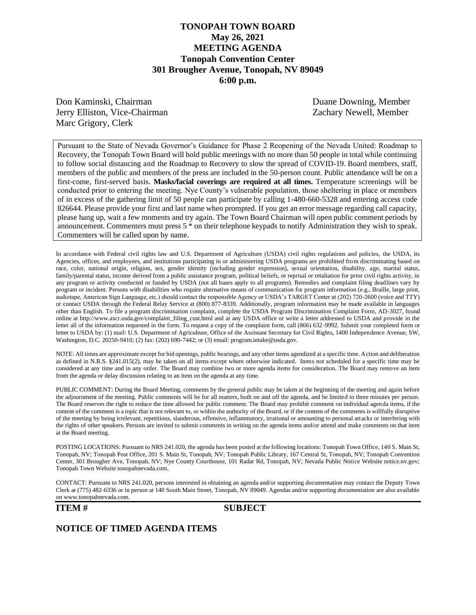## **TONOPAH TOWN BOARD May 26, 2021 MEETING AGENDA Tonopah Convention Center 301 Brougher Avenue, Tonopah, NV 89049 6:00 p.m.**

Don Kaminski, Chairman Duane Downing, Member Jerry Elliston, Vice-Chairman Zachary Newell, Member Marc Grigory, Clerk

Pursuant to the State of Nevada Governor's Guidance for Phase 2 Reopening of the Nevada United: Roadmap to Recovery, the Tonopah Town Board will hold public meetings with no more than 50 people in total while continuing to follow social distancing and the Roadmap to Recovery to slow the spread of COVID-19. Board members, staff, members of the public and members of the press are included in the 50-person count. Public attendance will be on a first-come, first-served basis. **Masks/facial coverings are required at all times.** Temperature screenings will be conducted prior to entering the meeting. Nye County's vulnerable population, those sheltering in place or members of in excess of the gathering limit of 50 people can participate by calling 1-480-660-5328 and entering access code 826644. Please provide your first and last name when prompted. If you get an error message regarding call capacity, please hang up, wait a few moments and try again. The Town Board Chairman will open public comment periods by announcement. Commenters must press 5 \* on their telephone keypads to notify Administration they wish to speak. Commenters will be called upon by name.

In accordance with Federal civil rights law and U.S. Department of Agriculture (USDA) civil rights regulations and policies, the USDA, its Agencies, offices, and employees, and institutions participating in or administering USDA programs are prohibited from discriminating based on race, color, national origin, religion, sex, gender identity (including gender expression), sexual orientation, disability, age, marital status, family/parental status, income derived from a public assistance program, political beliefs, or reprisal or retaliation for prior civil rights activity, in any program or activity conducted or funded by USDA (not all bases apply to all programs). Remedies and complaint filing deadlines vary by program or incident. Persons with disabilities who require alternative means of communication for program information (e.g., Braille, large print, audiotape, American Sign Language, etc.) should contact the responsible Agency or USDA's TARGET Center at (202) 720-2600 (voice and TTY) or contact USDA through the Federal Relay Service at (800) 877-8339. Additionally, program information may be made available in languages other than English. To file a program discrimination complaint, complete the USDA Program Discrimination Complaint Form, AD-3027, found online at http://www.ascr.usda.gov/complaint\_filing\_cust.html and at any USDA office or write a letter addressed to USDA and provide in the letter all of the information requested in the form. To request a copy of the complaint form, call (866) 632-9992. Submit your completed form or letter to USDA by: (1) mail: U.S. Department of Agriculture, Office of the Assistant Secretary for Civil Rights, 1400 Independence Avenue, SW, Washington, D.C. 20250-9410; (2) fax: (202) 690-7442; or (3) email: program.intake@usda.gov.

NOTE: All times are approximate except for bid openings, public hearings, and any other items agendized at a specific time. Action and deliberation as defined in N.R.S. §241.015(2), may be taken on all items except where otherwise indicated. Items not scheduled for a specific time may be considered at any time and in any order. The Board may combine two or more agenda items for consideration. The Board may remove an item from the agenda or delay discussion relating to an item on the agenda at any time.

PUBLIC COMMENT: During the Board Meeting, comments by the general public may be taken at the beginning of the meeting and again before the adjournment of the meeting. Public comments will be for all matters, both on and off the agenda, and be limited to three minutes per person. The Board reserves the right to reduce the time allowed for public comment. The Board may prohibit comment on individual agenda items, if the content of the comment is a topic that is not relevant to, or within the authority of the Board, or if the content of the comments is willfully disruptive of the meeting by being irrelevant, repetitious, slanderous, offensive, inflammatory, irrational or amounting to personal attacks or interfering with the rights of other speakers. Persons are invited to submit comments in writing on the agenda items and/or attend and make comments on that item at the Board meeting.

POSTING LOCATIONS: Pursuant to NRS 241.020, the agenda has been posted at the following locations: Tonopah Town Office, 140 S. Main St, Tonopah, NV; Tonopah Post Office, 201 S. Main St, Tonopah, NV; Tonopah Public Library, 167 Central St, Tonopah, NV; Tonopah Convention Center, 301 Brougher Ave, Tonopah, NV; Nye County Courthouse, 101 Radar Rd, Tonopah, NV; Nevada Public Notice Website notice.nv.gov; Tonopah Town Website tonopahnevada.com.

CONTACT: Pursuant to NRS 241.020, persons interested in obtaining an agenda and/or supporting documentation may contact the Deputy Town Clerk at (775) 482-6336 or in person at 140 South Main Street, Tonopah, NV 89049. Agendas and/or supporting documentation are also available on www.tonopahnevada.com.

**ITEM # SUBJECT**

#### **NOTICE OF TIMED AGENDA ITEMS**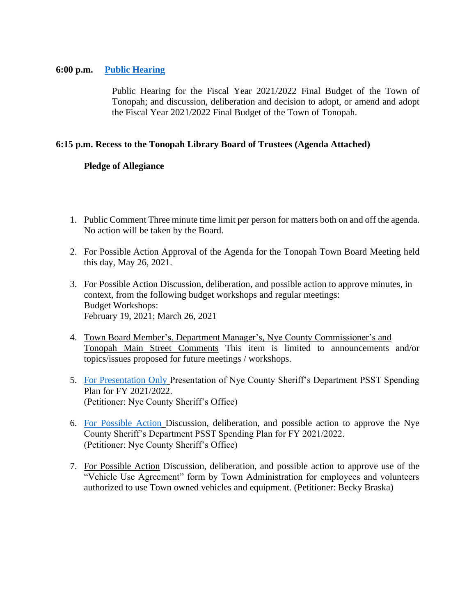#### **6:00 p.m. [Public Hearing](https://www.tonopahnevada.com/agendas/backup-2021/PublicHearingLib_05202021143506.pdf)**

Public Hearing for the Fiscal Year 2021/2022 Final Budget of the Town of Tonopah; and discussion, deliberation and decision to adopt, or amend and adopt the Fiscal Year 2021/2022 Final Budget of the Town of Tonopah.

## **6:15 p.m. Recess to the Tonopah Library Board of Trustees (Agenda Attached)**

# **Pledge of Allegiance**

- 1. Public Comment Three minute time limit per person for matters both on and off the agenda. No action will be taken by the Board.
- 2. For Possible Action Approval of the Agenda for the Tonopah Town Board Meeting held this day, May 26, 2021.
- 3. For Possible Action Discussion, deliberation, and possible action to approve minutes, in context, from the following budget workshops and regular meetings: Budget Workshops: February 19, 2021; March 26, 2021
- 4. Town Board Member's, Department Manager's, Nye County Commissioner's and Tonopah Main Street Comments This item is limited to announcements and/or topics/issues proposed for future meetings / workshops.
- 5. [For Presentation Only](https://www.tonopahnevada.com/agendas/backup-2021/5-26-2021-item-5.pdf) Presentation of Nye County Sheriff's Department PSST Spending Plan for FY 2021/2022. (Petitioner: Nye County Sheriff's Office)
- 6. [For Possible Action](https://www.tonopahnevada.com/agendas/backup-2021/5-26-2021-item-6.pdf) Discussion, deliberation, and possible action to approve the Nye County Sheriff's Department PSST Spending Plan for FY 2021/2022. (Petitioner: Nye County Sheriff's Office)
- 7. For Possible Action Discussion, deliberation, and possible action to approve use of the "Vehicle Use Agreement" form by Town Administration for employees and volunteers authorized to use Town owned vehicles and equipment. (Petitioner: Becky Braska)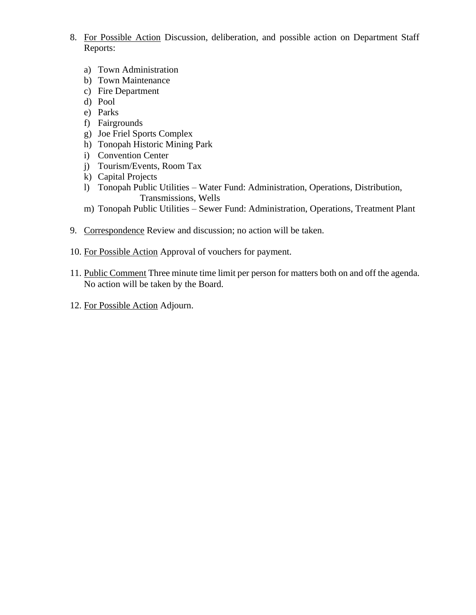- 8. For Possible Action Discussion, deliberation, and possible action on Department Staff Reports:
	- a) Town Administration
	- b) Town Maintenance
	- c) Fire Department
	- d) Pool
	- e) Parks
	- f) Fairgrounds
	- g) Joe Friel Sports Complex
	- h) Tonopah Historic Mining Park
	- i) Convention Center
	- j) Tourism/Events, Room Tax
	- k) Capital Projects
	- l) Tonopah Public Utilities Water Fund: Administration, Operations, Distribution, Transmissions, Wells
	- m) Tonopah Public Utilities Sewer Fund: Administration, Operations, Treatment Plant
- 9. Correspondence Review and discussion; no action will be taken.
- 10. For Possible Action Approval of vouchers for payment.
- 11. Public Comment Three minute time limit per person for matters both on and off the agenda. No action will be taken by the Board.
- 12. For Possible Action Adjourn.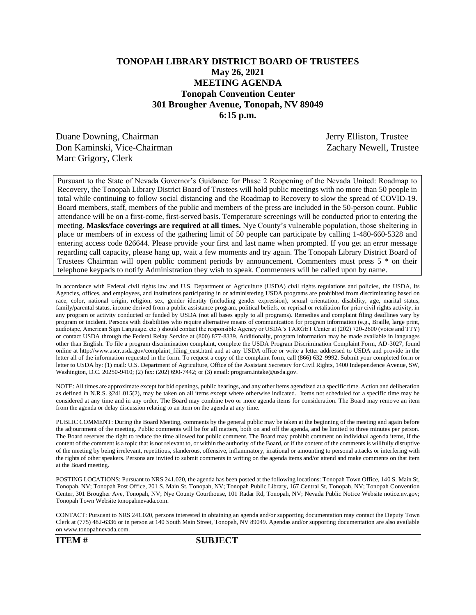## **TONOPAH LIBRARY DISTRICT BOARD OF TRUSTEES May 26, 2021 MEETING AGENDA Tonopah Convention Center 301 Brougher Avenue, Tonopah, NV 89049 6:15 p.m.**

Duane Downing, Chairman Jerry Elliston, Trustee Don Kaminski, Vice-Chairman Zachary Newell, Trustee Marc Grigory, Clerk

Pursuant to the State of Nevada Governor's Guidance for Phase 2 Reopening of the Nevada United: Roadmap to Recovery, the Tonopah Library District Board of Trustees will hold public meetings with no more than 50 people in total while continuing to follow social distancing and the Roadmap to Recovery to slow the spread of COVID-19. Board members, staff, members of the public and members of the press are included in the 50-person count. Public attendance will be on a first-come, first-served basis. Temperature screenings will be conducted prior to entering the meeting. **Masks/face coverings are required at all times.** Nye County's vulnerable population, those sheltering in place or members of in excess of the gathering limit of 50 people can participate by calling 1-480-660-5328 and entering access code 826644. Please provide your first and last name when prompted. If you get an error message regarding call capacity, please hang up, wait a few moments and try again. The Tonopah Library District Board of Trustees Chairman will open public comment periods by announcement. Commenters must press 5 \* on their telephone keypads to notify Administration they wish to speak. Commenters will be called upon by name.

In accordance with Federal civil rights law and U.S. Department of Agriculture (USDA) civil rights regulations and policies, the USDA, its Agencies, offices, and employees, and institutions participating in or administering USDA programs are prohibited from discriminating based on race, color, national origin, religion, sex, gender identity (including gender expression), sexual orientation, disability, age, marital status, family/parental status, income derived from a public assistance program, political beliefs, or reprisal or retaliation for prior civil rights activity, in any program or activity conducted or funded by USDA (not all bases apply to all programs). Remedies and complaint filing deadlines vary by program or incident. Persons with disabilities who require alternative means of communication for program information (e.g., Braille, large print, audiotape, American Sign Language, etc.) should contact the responsible Agency or USDA's TARGET Center at (202) 720-2600 (voice and TTY) or contact USDA through the Federal Relay Service at (800) 877-8339. Additionally, program information may be made available in languages other than English. To file a program discrimination complaint, complete the USDA Program Discrimination Complaint Form, AD-3027, found online at http://www.ascr.usda.gov/complaint\_filing\_cust.html and at any USDA office or write a letter addressed to USDA and provide in the letter all of the information requested in the form. To request a copy of the complaint form, call (866) 632-9992. Submit your completed form or letter to USDA by: (1) mail: U.S. Department of Agriculture, Office of the Assistant Secretary for Civil Rights, 1400 Independence Avenue, SW, Washington, D.C. 20250-9410; (2) fax: (202) 690-7442; or (3) email: program.intake@usda.gov.

NOTE: All times are approximate except for bid openings, public hearings, and any other items agendized at a specific time. Action and deliberation as defined in N.R.S. §241.015(2), may be taken on all items except where otherwise indicated. Items not scheduled for a specific time may be considered at any time and in any order. The Board may combine two or more agenda items for consideration. The Board may remove an item from the agenda or delay discussion relating to an item on the agenda at any time.

PUBLIC COMMENT: During the Board Meeting, comments by the general public may be taken at the beginning of the meeting and again before the adjournment of the meeting. Public comments will be for all matters, both on and off the agenda, and be limited to three minutes per person. The Board reserves the right to reduce the time allowed for public comment. The Board may prohibit comment on individual agenda items, if the content of the comment is a topic that is not relevant to, or within the authority of the Board, or if the content of the comments is willfully disruptive of the meeting by being irrelevant, repetitious, slanderous, offensive, inflammatory, irrational or amounting to personal attacks or interfering with the rights of other speakers. Persons are invited to submit comments in writing on the agenda items and/or attend and make comments on that item at the Board meeting.

POSTING LOCATIONS: Pursuant to NRS 241.020, the agenda has been posted at the following locations: Tonopah Town Office, 140 S. Main St, Tonopah, NV; Tonopah Post Office, 201 S. Main St, Tonopah, NV; Tonopah Public Library, 167 Central St, Tonopah, NV; Tonopah Convention Center, 301 Brougher Ave, Tonopah, NV; Nye County Courthouse, 101 Radar Rd, Tonopah, NV; Nevada Public Notice Website notice.nv.gov; Tonopah Town Website tonopahnevada.com.

CONTACT: Pursuant to NRS 241.020, persons interested in obtaining an agenda and/or supporting documentation may contact the Deputy Town Clerk at (775) 482-6336 or in person at 140 South Main Street, Tonopah, NV 89049. Agendas and/or supporting documentation are also available on www.tonopahnevada.com.